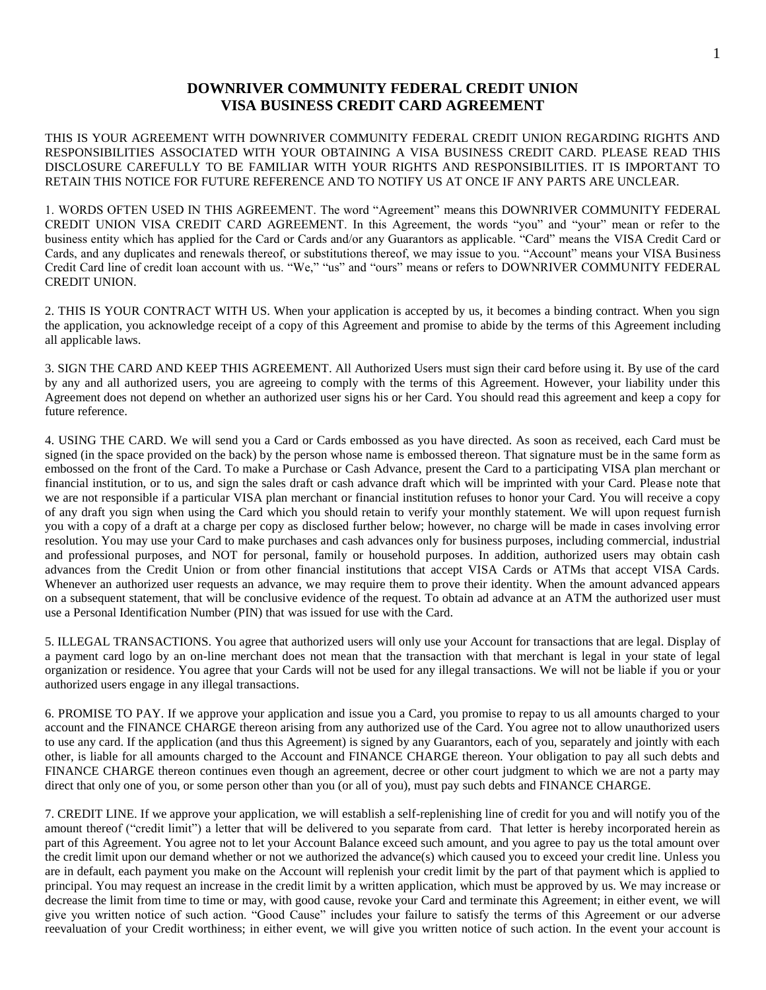## **DOWNRIVER COMMUNITY FEDERAL CREDIT UNION VISA BUSINESS CREDIT CARD AGREEMENT**

THIS IS YOUR AGREEMENT WITH DOWNRIVER COMMUNITY FEDERAL CREDIT UNION REGARDING RIGHTS AND RESPONSIBILITIES ASSOCIATED WITH YOUR OBTAINING A VISA BUSINESS CREDIT CARD. PLEASE READ THIS DISCLOSURE CAREFULLY TO BE FAMILIAR WITH YOUR RIGHTS AND RESPONSIBILITIES. IT IS IMPORTANT TO RETAIN THIS NOTICE FOR FUTURE REFERENCE AND TO NOTIFY US AT ONCE IF ANY PARTS ARE UNCLEAR.

1. WORDS OFTEN USED IN THIS AGREEMENT. The word "Agreement" means this DOWNRIVER COMMUNITY FEDERAL CREDIT UNION VISA CREDIT CARD AGREEMENT. In this Agreement, the words "you" and "your" mean or refer to the business entity which has applied for the Card or Cards and/or any Guarantors as applicable. "Card" means the VISA Credit Card or Cards, and any duplicates and renewals thereof, or substitutions thereof, we may issue to you. "Account" means your VISA Business Credit Card line of credit loan account with us. "We," "us" and "ours" means or refers to DOWNRIVER COMMUNITY FEDERAL CREDIT UNION.

2. THIS IS YOUR CONTRACT WITH US. When your application is accepted by us, it becomes a binding contract. When you sign the application, you acknowledge receipt of a copy of this Agreement and promise to abide by the terms of this Agreement including all applicable laws.

3. SIGN THE CARD AND KEEP THIS AGREEMENT. All Authorized Users must sign their card before using it. By use of the card by any and all authorized users, you are agreeing to comply with the terms of this Agreement. However, your liability under this Agreement does not depend on whether an authorized user signs his or her Card. You should read this agreement and keep a copy for future reference.

4. USING THE CARD. We will send you a Card or Cards embossed as you have directed. As soon as received, each Card must be signed (in the space provided on the back) by the person whose name is embossed thereon. That signature must be in the same form as embossed on the front of the Card. To make a Purchase or Cash Advance, present the Card to a participating VISA plan merchant or financial institution, or to us, and sign the sales draft or cash advance draft which will be imprinted with your Card. Please note that we are not responsible if a particular VISA plan merchant or financial institution refuses to honor your Card. You will receive a copy of any draft you sign when using the Card which you should retain to verify your monthly statement. We will upon request furnish you with a copy of a draft at a charge per copy as disclosed further below; however, no charge will be made in cases involving error resolution. You may use your Card to make purchases and cash advances only for business purposes, including commercial, industrial and professional purposes, and NOT for personal, family or household purposes. In addition, authorized users may obtain cash advances from the Credit Union or from other financial institutions that accept VISA Cards or ATMs that accept VISA Cards. Whenever an authorized user requests an advance, we may require them to prove their identity. When the amount advanced appears on a subsequent statement, that will be conclusive evidence of the request. To obtain ad advance at an ATM the authorized user must use a Personal Identification Number (PIN) that was issued for use with the Card.

5. ILLEGAL TRANSACTIONS. You agree that authorized users will only use your Account for transactions that are legal. Display of a payment card logo by an on-line merchant does not mean that the transaction with that merchant is legal in your state of legal organization or residence. You agree that your Cards will not be used for any illegal transactions. We will not be liable if you or your authorized users engage in any illegal transactions.

6. PROMISE TO PAY. If we approve your application and issue you a Card, you promise to repay to us all amounts charged to your account and the FINANCE CHARGE thereon arising from any authorized use of the Card. You agree not to allow unauthorized users to use any card. If the application (and thus this Agreement) is signed by any Guarantors, each of you, separately and jointly with each other, is liable for all amounts charged to the Account and FINANCE CHARGE thereon. Your obligation to pay all such debts and FINANCE CHARGE thereon continues even though an agreement, decree or other court judgment to which we are not a party may direct that only one of you, or some person other than you (or all of you), must pay such debts and FINANCE CHARGE.

7. CREDIT LINE. If we approve your application, we will establish a self-replenishing line of credit for you and will notify you of the amount thereof ("credit limit") a letter that will be delivered to you separate from card. That letter is hereby incorporated herein as part of this Agreement. You agree not to let your Account Balance exceed such amount, and you agree to pay us the total amount over the credit limit upon our demand whether or not we authorized the advance(s) which caused you to exceed your credit line. Unless you are in default, each payment you make on the Account will replenish your credit limit by the part of that payment which is applied to principal. You may request an increase in the credit limit by a written application, which must be approved by us. We may increase or decrease the limit from time to time or may, with good cause, revoke your Card and terminate this Agreement; in either event, we will give you written notice of such action. "Good Cause" includes your failure to satisfy the terms of this Agreement or our adverse reevaluation of your Credit worthiness; in either event, we will give you written notice of such action. In the event your account is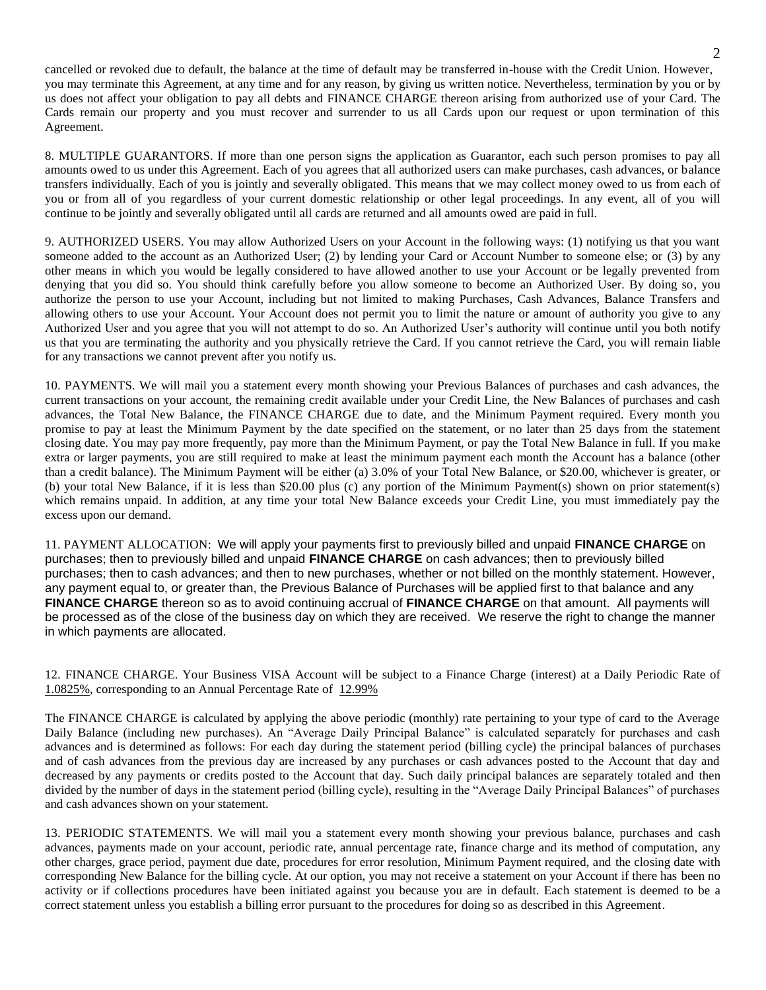cancelled or revoked due to default, the balance at the time of default may be transferred in-house with the Credit Union. However, you may terminate this Agreement, at any time and for any reason, by giving us written notice. Nevertheless, termination by you or by us does not affect your obligation to pay all debts and FINANCE CHARGE thereon arising from authorized use of your Card. The Cards remain our property and you must recover and surrender to us all Cards upon our request or upon termination of this Agreement.

8. MULTIPLE GUARANTORS. If more than one person signs the application as Guarantor, each such person promises to pay all amounts owed to us under this Agreement. Each of you agrees that all authorized users can make purchases, cash advances, or balance transfers individually. Each of you is jointly and severally obligated. This means that we may collect money owed to us from each of you or from all of you regardless of your current domestic relationship or other legal proceedings. In any event, all of you will continue to be jointly and severally obligated until all cards are returned and all amounts owed are paid in full.

9. AUTHORIZED USERS. You may allow Authorized Users on your Account in the following ways: (1) notifying us that you want someone added to the account as an Authorized User; (2) by lending your Card or Account Number to someone else; or (3) by any other means in which you would be legally considered to have allowed another to use your Account or be legally prevented from denying that you did so. You should think carefully before you allow someone to become an Authorized User. By doing so, you authorize the person to use your Account, including but not limited to making Purchases, Cash Advances, Balance Transfers and allowing others to use your Account. Your Account does not permit you to limit the nature or amount of authority you give to any Authorized User and you agree that you will not attempt to do so. An Authorized User's authority will continue until you both notify us that you are terminating the authority and you physically retrieve the Card. If you cannot retrieve the Card, you will remain liable for any transactions we cannot prevent after you notify us.

10. PAYMENTS. We will mail you a statement every month showing your Previous Balances of purchases and cash advances, the current transactions on your account, the remaining credit available under your Credit Line, the New Balances of purchases and cash advances, the Total New Balance, the FINANCE CHARGE due to date, and the Minimum Payment required. Every month you promise to pay at least the Minimum Payment by the date specified on the statement, or no later than 25 days from the statement closing date. You may pay more frequently, pay more than the Minimum Payment, or pay the Total New Balance in full. If you make extra or larger payments, you are still required to make at least the minimum payment each month the Account has a balance (other than a credit balance). The Minimum Payment will be either (a) 3.0% of your Total New Balance, or \$20.00, whichever is greater, or (b) your total New Balance, if it is less than \$20.00 plus (c) any portion of the Minimum Payment(s) shown on prior statement(s) which remains unpaid. In addition, at any time your total New Balance exceeds your Credit Line, you must immediately pay the excess upon our demand.

11. PAYMENT ALLOCATION: We will apply your payments first to previously billed and unpaid **FINANCE CHARGE** on purchases; then to previously billed and unpaid **FINANCE CHARGE** on cash advances; then to previously billed purchases; then to cash advances; and then to new purchases, whether or not billed on the monthly statement. However, any payment equal to, or greater than, the Previous Balance of Purchases will be applied first to that balance and any **FINANCE CHARGE** thereon so as to avoid continuing accrual of **FINANCE CHARGE** on that amount. All payments will be processed as of the close of the business day on which they are received. We reserve the right to change the manner in which payments are allocated.

12. FINANCE CHARGE. Your Business VISA Account will be subject to a Finance Charge (interest) at a Daily Periodic Rate of 1.0825%, corresponding to an Annual Percentage Rate of 12.99%

The FINANCE CHARGE is calculated by applying the above periodic (monthly) rate pertaining to your type of card to the Average Daily Balance (including new purchases). An "Average Daily Principal Balance" is calculated separately for purchases and cash advances and is determined as follows: For each day during the statement period (billing cycle) the principal balances of purchases and of cash advances from the previous day are increased by any purchases or cash advances posted to the Account that day and decreased by any payments or credits posted to the Account that day. Such daily principal balances are separately totaled and then divided by the number of days in the statement period (billing cycle), resulting in the "Average Daily Principal Balances" of purchases and cash advances shown on your statement.

13. PERIODIC STATEMENTS. We will mail you a statement every month showing your previous balance, purchases and cash advances, payments made on your account, periodic rate, annual percentage rate, finance charge and its method of computation, any other charges, grace period, payment due date, procedures for error resolution, Minimum Payment required, and the closing date with corresponding New Balance for the billing cycle. At our option, you may not receive a statement on your Account if there has been no activity or if collections procedures have been initiated against you because you are in default. Each statement is deemed to be a correct statement unless you establish a billing error pursuant to the procedures for doing so as described in this Agreement.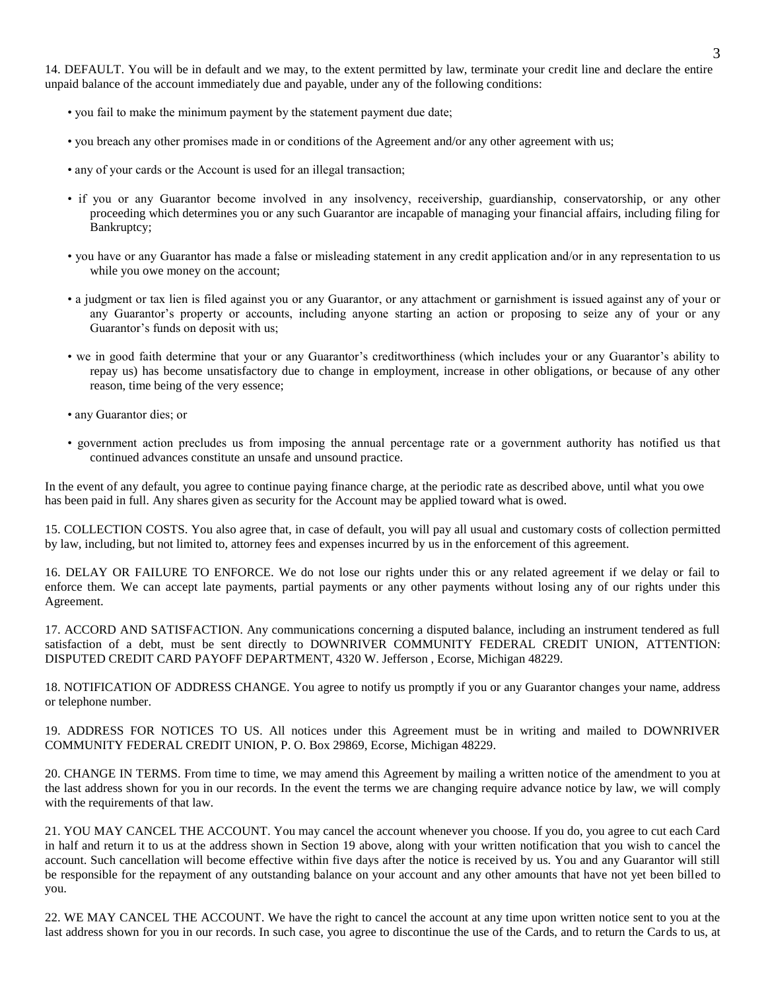14. DEFAULT. You will be in default and we may, to the extent permitted by law, terminate your credit line and declare the entire unpaid balance of the account immediately due and payable, under any of the following conditions:

- you fail to make the minimum payment by the statement payment due date;
- you breach any other promises made in or conditions of the Agreement and/or any other agreement with us;
- any of your cards or the Account is used for an illegal transaction;
- if you or any Guarantor become involved in any insolvency, receivership, guardianship, conservatorship, or any other proceeding which determines you or any such Guarantor are incapable of managing your financial affairs, including filing for Bankruptcy;
- you have or any Guarantor has made a false or misleading statement in any credit application and/or in any representation to us while you owe money on the account:
- a judgment or tax lien is filed against you or any Guarantor, or any attachment or garnishment is issued against any of your or any Guarantor's property or accounts, including anyone starting an action or proposing to seize any of your or any Guarantor's funds on deposit with us;
- we in good faith determine that your or any Guarantor's creditworthiness (which includes your or any Guarantor's ability to repay us) has become unsatisfactory due to change in employment, increase in other obligations, or because of any other reason, time being of the very essence;
- any Guarantor dies; or
- government action precludes us from imposing the annual percentage rate or a government authority has notified us that continued advances constitute an unsafe and unsound practice.

In the event of any default, you agree to continue paying finance charge, at the periodic rate as described above, until what you owe has been paid in full. Any shares given as security for the Account may be applied toward what is owed.

15. COLLECTION COSTS. You also agree that, in case of default, you will pay all usual and customary costs of collection permitted by law, including, but not limited to, attorney fees and expenses incurred by us in the enforcement of this agreement.

16. DELAY OR FAILURE TO ENFORCE. We do not lose our rights under this or any related agreement if we delay or fail to enforce them. We can accept late payments, partial payments or any other payments without losing any of our rights under this Agreement.

17. ACCORD AND SATISFACTION. Any communications concerning a disputed balance, including an instrument tendered as full satisfaction of a debt, must be sent directly to DOWNRIVER COMMUNITY FEDERAL CREDIT UNION, ATTENTION: DISPUTED CREDIT CARD PAYOFF DEPARTMENT, 4320 W. Jefferson , Ecorse, Michigan 48229.

18. NOTIFICATION OF ADDRESS CHANGE. You agree to notify us promptly if you or any Guarantor changes your name, address or telephone number.

19. ADDRESS FOR NOTICES TO US. All notices under this Agreement must be in writing and mailed to DOWNRIVER COMMUNITY FEDERAL CREDIT UNION, P. O. Box 29869, Ecorse, Michigan 48229.

20. CHANGE IN TERMS. From time to time, we may amend this Agreement by mailing a written notice of the amendment to you at the last address shown for you in our records. In the event the terms we are changing require advance notice by law, we will comply with the requirements of that law.

21. YOU MAY CANCEL THE ACCOUNT. You may cancel the account whenever you choose. If you do, you agree to cut each Card in half and return it to us at the address shown in Section 19 above, along with your written notification that you wish to cancel the account. Such cancellation will become effective within five days after the notice is received by us. You and any Guarantor will still be responsible for the repayment of any outstanding balance on your account and any other amounts that have not yet been billed to you.

22. WE MAY CANCEL THE ACCOUNT. We have the right to cancel the account at any time upon written notice sent to you at the last address shown for you in our records. In such case, you agree to discontinue the use of the Cards, and to return the Cards to us, at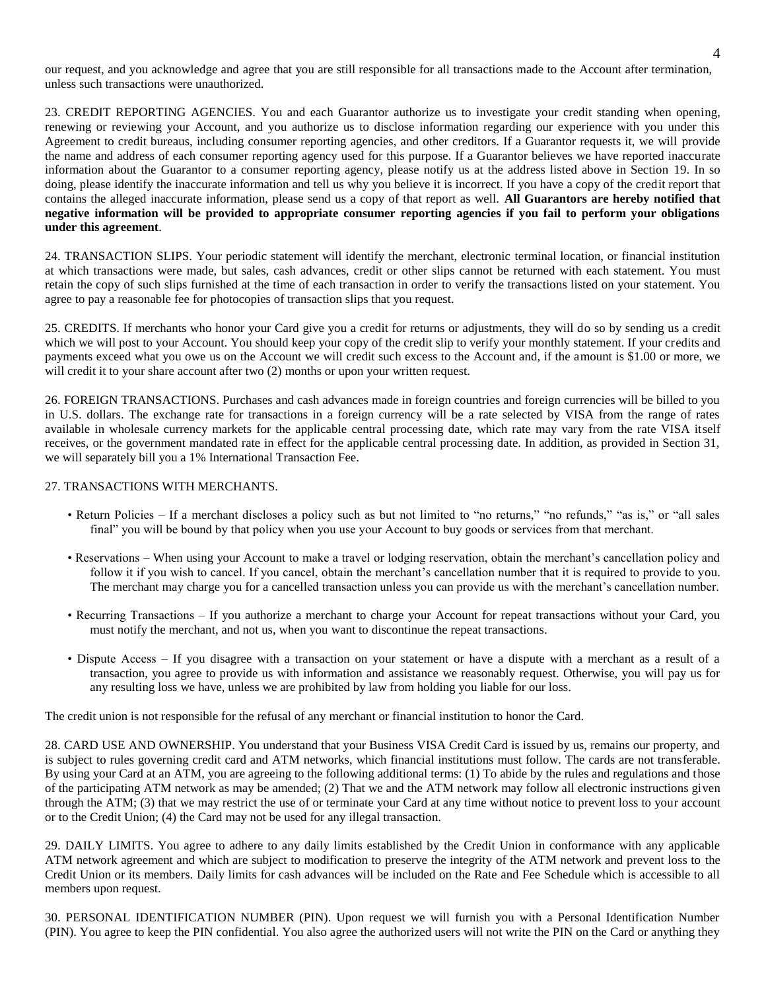our request, and you acknowledge and agree that you are still responsible for all transactions made to the Account after termination, unless such transactions were unauthorized.

23. CREDIT REPORTING AGENCIES. You and each Guarantor authorize us to investigate your credit standing when opening, renewing or reviewing your Account, and you authorize us to disclose information regarding our experience with you under this Agreement to credit bureaus, including consumer reporting agencies, and other creditors. If a Guarantor requests it, we will provide the name and address of each consumer reporting agency used for this purpose. If a Guarantor believes we have reported inaccurate information about the Guarantor to a consumer reporting agency, please notify us at the address listed above in Section 19. In so doing, please identify the inaccurate information and tell us why you believe it is incorrect. If you have a copy of the credit report that contains the alleged inaccurate information, please send us a copy of that report as well. **All Guarantors are hereby notified that negative information will be provided to appropriate consumer reporting agencies if you fail to perform your obligations under this agreement**.

24. TRANSACTION SLIPS. Your periodic statement will identify the merchant, electronic terminal location, or financial institution at which transactions were made, but sales, cash advances, credit or other slips cannot be returned with each statement. You must retain the copy of such slips furnished at the time of each transaction in order to verify the transactions listed on your statement. You agree to pay a reasonable fee for photocopies of transaction slips that you request.

25. CREDITS. If merchants who honor your Card give you a credit for returns or adjustments, they will do so by sending us a credit which we will post to your Account. You should keep your copy of the credit slip to verify your monthly statement. If your credits and payments exceed what you owe us on the Account we will credit such excess to the Account and, if the amount is \$1.00 or more, we will credit it to your share account after two (2) months or upon your written request.

26. FOREIGN TRANSACTIONS. Purchases and cash advances made in foreign countries and foreign currencies will be billed to you in U.S. dollars. The exchange rate for transactions in a foreign currency will be a rate selected by VISA from the range of rates available in wholesale currency markets for the applicable central processing date, which rate may vary from the rate VISA itself receives, or the government mandated rate in effect for the applicable central processing date. In addition, as provided in Section 31, we will separately bill you a 1% International Transaction Fee.

## 27. TRANSACTIONS WITH MERCHANTS.

- Return Policies If a merchant discloses a policy such as but not limited to "no returns," "no refunds," "as is," or "all sales final" you will be bound by that policy when you use your Account to buy goods or services from that merchant.
- Reservations When using your Account to make a travel or lodging reservation, obtain the merchant's cancellation policy and follow it if you wish to cancel. If you cancel, obtain the merchant's cancellation number that it is required to provide to you. The merchant may charge you for a cancelled transaction unless you can provide us with the merchant's cancellation number.
- Recurring Transactions If you authorize a merchant to charge your Account for repeat transactions without your Card, you must notify the merchant, and not us, when you want to discontinue the repeat transactions.
- Dispute Access If you disagree with a transaction on your statement or have a dispute with a merchant as a result of a transaction, you agree to provide us with information and assistance we reasonably request. Otherwise, you will pay us for any resulting loss we have, unless we are prohibited by law from holding you liable for our loss.

The credit union is not responsible for the refusal of any merchant or financial institution to honor the Card.

28. CARD USE AND OWNERSHIP. You understand that your Business VISA Credit Card is issued by us, remains our property, and is subject to rules governing credit card and ATM networks, which financial institutions must follow. The cards are not transferable. By using your Card at an ATM, you are agreeing to the following additional terms: (1) To abide by the rules and regulations and those of the participating ATM network as may be amended; (2) That we and the ATM network may follow all electronic instructions given through the ATM; (3) that we may restrict the use of or terminate your Card at any time without notice to prevent loss to your account or to the Credit Union; (4) the Card may not be used for any illegal transaction.

29. DAILY LIMITS. You agree to adhere to any daily limits established by the Credit Union in conformance with any applicable ATM network agreement and which are subject to modification to preserve the integrity of the ATM network and prevent loss to the Credit Union or its members. Daily limits for cash advances will be included on the Rate and Fee Schedule which is accessible to all members upon request.

30. PERSONAL IDENTIFICATION NUMBER (PIN). Upon request we will furnish you with a Personal Identification Number (PIN). You agree to keep the PIN confidential. You also agree the authorized users will not write the PIN on the Card or anything they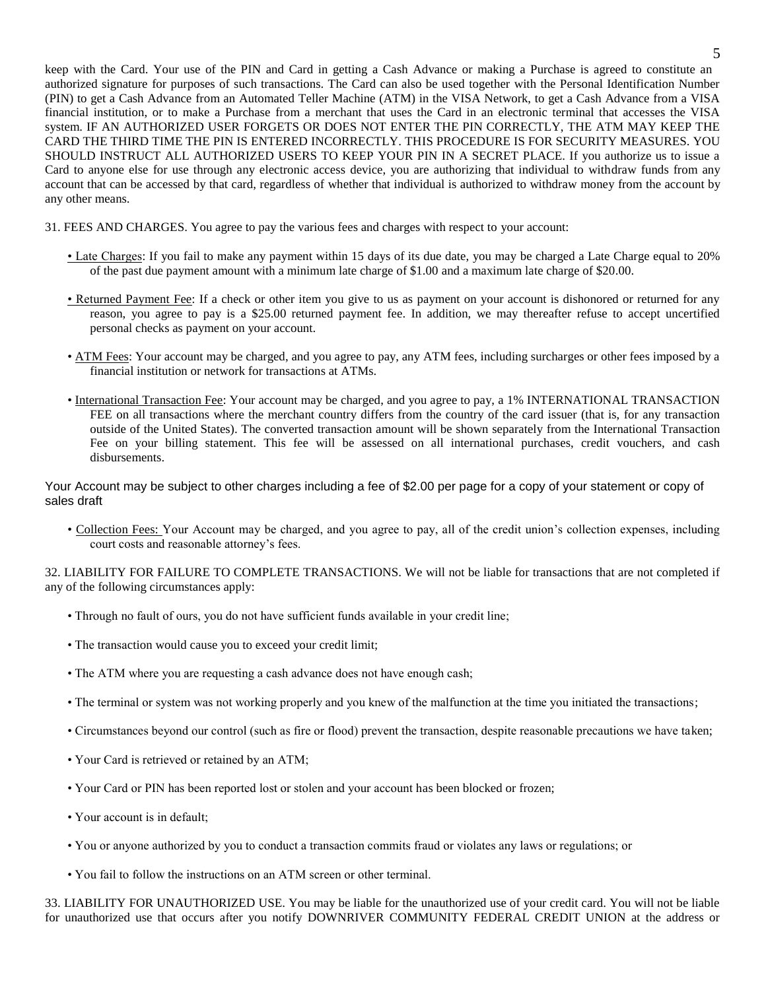keep with the Card. Your use of the PIN and Card in getting a Cash Advance or making a Purchase is agreed to constitute an authorized signature for purposes of such transactions. The Card can also be used together with the Personal Identification Number (PIN) to get a Cash Advance from an Automated Teller Machine (ATM) in the VISA Network, to get a Cash Advance from a VISA financial institution, or to make a Purchase from a merchant that uses the Card in an electronic terminal that accesses the VISA system. IF AN AUTHORIZED USER FORGETS OR DOES NOT ENTER THE PIN CORRECTLY, THE ATM MAY KEEP THE CARD THE THIRD TIME THE PIN IS ENTERED INCORRECTLY. THIS PROCEDURE IS FOR SECURITY MEASURES. YOU SHOULD INSTRUCT ALL AUTHORIZED USERS TO KEEP YOUR PIN IN A SECRET PLACE. If you authorize us to issue a Card to anyone else for use through any electronic access device, you are authorizing that individual to withdraw funds from any account that can be accessed by that card, regardless of whether that individual is authorized to withdraw money from the account by any other means.

31. FEES AND CHARGES. You agree to pay the various fees and charges with respect to your account:

- Late Charges: If you fail to make any payment within 15 days of its due date, you may be charged a Late Charge equal to 20% of the past due payment amount with a minimum late charge of \$1.00 and a maximum late charge of \$20.00.
- Returned Payment Fee: If a check or other item you give to us as payment on your account is dishonored or returned for any reason, you agree to pay is a \$25.00 returned payment fee. In addition, we may thereafter refuse to accept uncertified personal checks as payment on your account.
- ATM Fees: Your account may be charged, and you agree to pay, any ATM fees, including surcharges or other fees imposed by a financial institution or network for transactions at ATMs.
- International Transaction Fee: Your account may be charged, and you agree to pay, a 1% INTERNATIONAL TRANSACTION FEE on all transactions where the merchant country differs from the country of the card issuer (that is, for any transaction outside of the United States). The converted transaction amount will be shown separately from the International Transaction Fee on your billing statement. This fee will be assessed on all international purchases, credit vouchers, and cash disbursements.

Your Account may be subject to other charges including a fee of \$2.00 per page for a copy of your statement or copy of sales draft

• Collection Fees: Your Account may be charged, and you agree to pay, all of the credit union's collection expenses, including court costs and reasonable attorney's fees.

32. LIABILITY FOR FAILURE TO COMPLETE TRANSACTIONS. We will not be liable for transactions that are not completed if any of the following circumstances apply:

- Through no fault of ours, you do not have sufficient funds available in your credit line;
- The transaction would cause you to exceed your credit limit;
- The ATM where you are requesting a cash advance does not have enough cash;
- The terminal or system was not working properly and you knew of the malfunction at the time you initiated the transactions;
- Circumstances beyond our control (such as fire or flood) prevent the transaction, despite reasonable precautions we have taken;
- Your Card is retrieved or retained by an ATM;
- Your Card or PIN has been reported lost or stolen and your account has been blocked or frozen;
- Your account is in default;
- You or anyone authorized by you to conduct a transaction commits fraud or violates any laws or regulations; or
- You fail to follow the instructions on an ATM screen or other terminal.

33. LIABILITY FOR UNAUTHORIZED USE. You may be liable for the unauthorized use of your credit card. You will not be liable for unauthorized use that occurs after you notify DOWNRIVER COMMUNITY FEDERAL CREDIT UNION at the address or